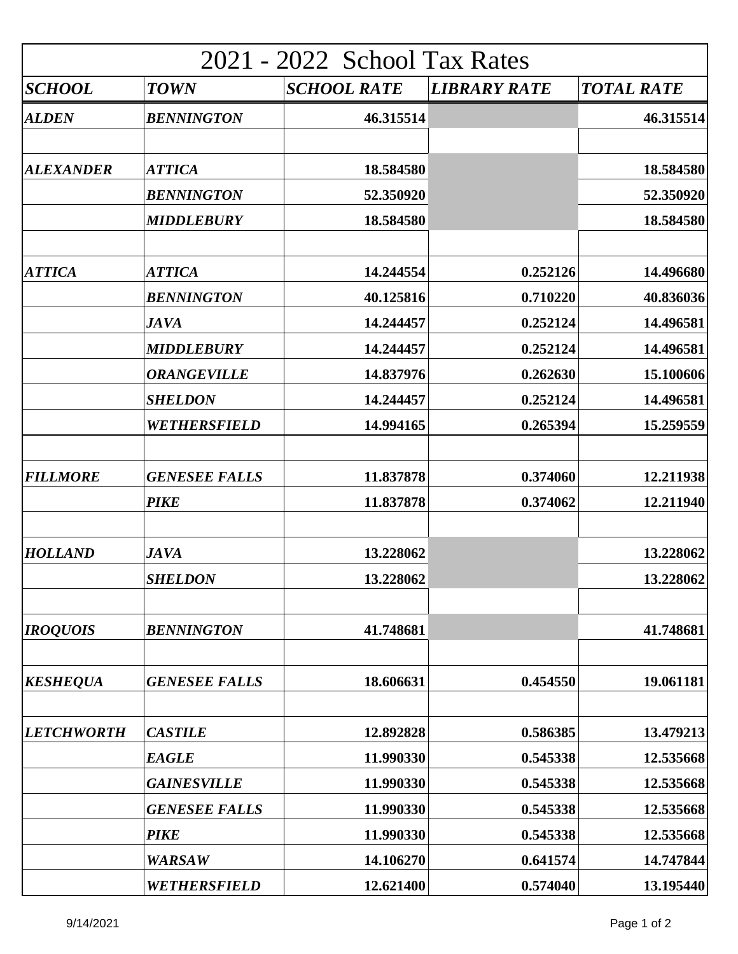| 2021 - 2022 School Tax Rates |                      |                    |                     |                   |  |  |
|------------------------------|----------------------|--------------------|---------------------|-------------------|--|--|
| SCHOOL                       | <b>TOWN</b>          | <b>SCHOOL RATE</b> | <b>LIBRARY RATE</b> | <b>TOTAL RATE</b> |  |  |
| <b>ALDEN</b>                 | <b>BENNINGTON</b>    | 46.315514          |                     | 46.315514         |  |  |
| <b>ALEXANDER</b>             | <b>ATTICA</b>        | 18.584580          |                     | 18.584580         |  |  |
|                              | <b>BENNINGTON</b>    | 52.350920          |                     | 52.350920         |  |  |
|                              | <b>MIDDLEBURY</b>    | 18.584580          |                     | 18.584580         |  |  |
|                              |                      |                    |                     |                   |  |  |
| <b>ATTICA</b>                | <b>ATTICA</b>        | 14.244554          | 0.252126            | 14.496680         |  |  |
|                              | <b>BENNINGTON</b>    | 40.125816          | 0.710220            | 40.836036         |  |  |
|                              | <b>JAVA</b>          | 14.244457          | 0.252124            | 14.496581         |  |  |
|                              | <b>MIDDLEBURY</b>    | 14.244457          | 0.252124            | 14.496581         |  |  |
|                              | <b>ORANGEVILLE</b>   | 14.837976          | 0.262630            | 15.100606         |  |  |
|                              | <b>SHELDON</b>       | 14.244457          | 0.252124            | 14.496581         |  |  |
|                              | WETHERSFIELD         | 14.994165          | 0.265394            | 15.259559         |  |  |
| <b>FILLMORE</b>              |                      | 11.837878          | 0.374060            |                   |  |  |
|                              | <b>GENESEE FALLS</b> |                    |                     | 12.211938         |  |  |
|                              | <b>PIKE</b>          | 11.837878          | 0.374062            | 12.211940         |  |  |
| <b>HOLLAND</b>               | <b>JAVA</b>          | 13.228062          |                     | 13.228062         |  |  |
|                              | <b>SHELDON</b>       | 13.228062          |                     | 13.228062         |  |  |
| <b>IROQUOIS</b>              | <b>BENNINGTON</b>    | 41.748681          |                     | 41.748681         |  |  |
| <b>KESHEQUA</b>              | <b>GENESEE FALLS</b> | 18.606631          | 0.454550            | 19.061181         |  |  |
| <b>LETCHWORTH</b>            | <b>CASTILE</b>       | 12.892828          | 0.586385            | 13.479213         |  |  |
|                              | <b>EAGLE</b>         | 11.990330          | 0.545338            | 12.535668         |  |  |
|                              | <b>GAINESVILLE</b>   | 11.990330          | 0.545338            | 12.535668         |  |  |
|                              | <b>GENESEE FALLS</b> | 11.990330          | 0.545338            | 12.535668         |  |  |
|                              | <b>PIKE</b>          | 11.990330          | 0.545338            | 12.535668         |  |  |
|                              | <b>WARSAW</b>        | 14.106270          | 0.641574            | 14.747844         |  |  |
|                              | WETHERSFIELD         | 12.621400          | 0.574040            | 13.195440         |  |  |